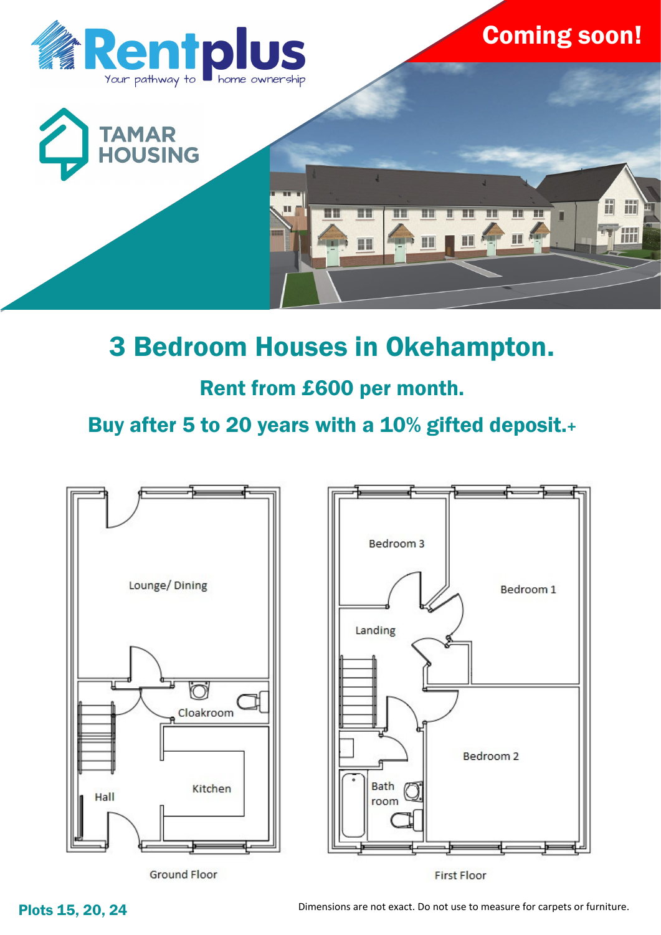

# 3 Bedroom Houses in Okehampton.

## Rent from £600 per month.

Buy after 5 to 20 years with a 10% gifted deposit.+



Plots 15, 20, 24 Dimensions are not exact. Do not use to measure for carpets or furniture.